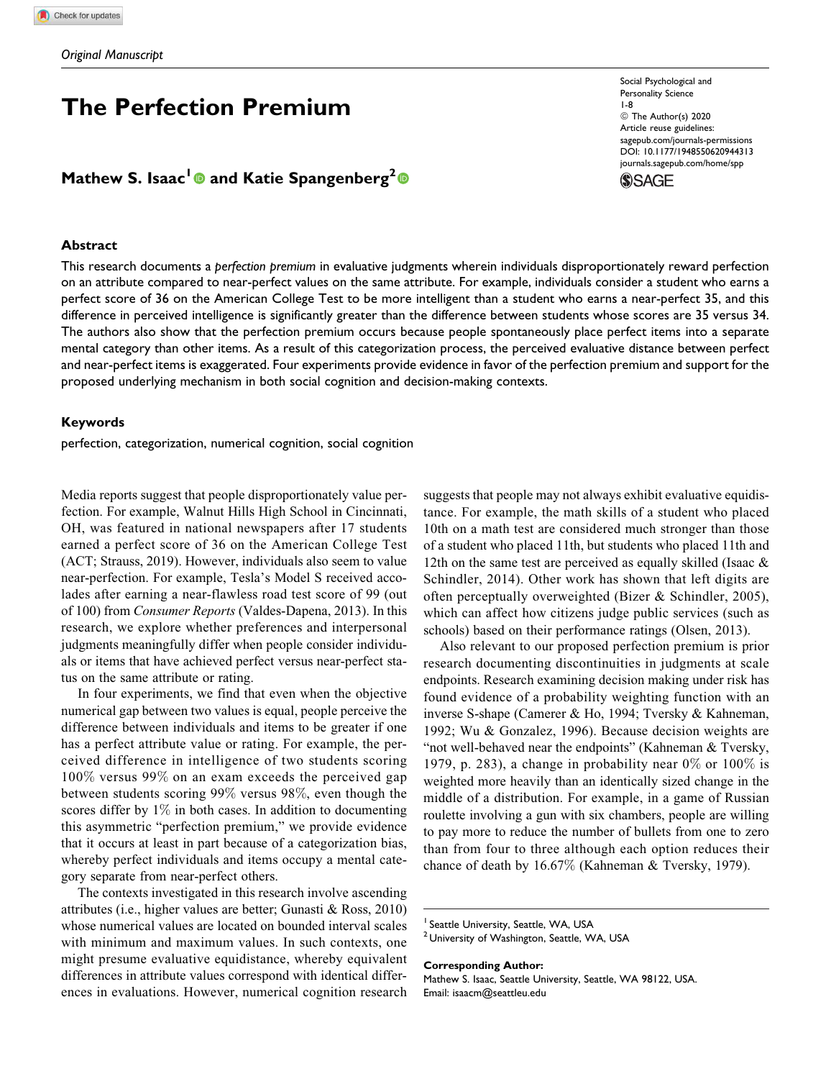# The Perfection Premium

Mathew S. Isaac<sup>l</sup> @ and Katie Spangenberg<sup>2</sup>

#### **Abstract**

This research documents a perfection premium in evaluative judgments wherein individuals disproportionately reward perfection on an attribute compared to near-perfect values on the same attribute. For example, individuals consider a student who earns a perfect score of 36 on the American College Test to be more intelligent than a student who earns a near-perfect 35, and this difference in perceived intelligence is significantly greater than the difference between students whose scores are 35 versus 34. The authors also show that the perfection premium occurs because people spontaneously place perfect items into a separate mental category than other items. As a result of this categorization process, the perceived evaluative distance between perfect and near-perfect items is exaggerated. Four experiments provide evidence in favor of the perfection premium and support for the proposed underlying mechanism in both social cognition and decision-making contexts.

#### Keywords

perfection, categorization, numerical cognition, social cognition

Media reports suggest that people disproportionately value perfection. For example, Walnut Hills High School in Cincinnati, OH, was featured in national newspapers after 17 students earned a perfect score of 36 on the American College Test (ACT; Strauss, 2019). However, individuals also seem to value near-perfection. For example, Tesla's Model S received accolades after earning a near-flawless road test score of 99 (out of 100) from Consumer Reports (Valdes-Dapena, 2013). In this research, we explore whether preferences and interpersonal judgments meaningfully differ when people consider individuals or items that have achieved perfect versus near-perfect status on the same attribute or rating.

In four experiments, we find that even when the objective numerical gap between two values is equal, people perceive the difference between individuals and items to be greater if one has a perfect attribute value or rating. For example, the perceived difference in intelligence of two students scoring 100% versus 99% on an exam exceeds the perceived gap between students scoring 99% versus 98%, even though the scores differ by 1% in both cases. In addition to documenting this asymmetric "perfection premium," we provide evidence that it occurs at least in part because of a categorization bias, whereby perfect individuals and items occupy a mental category separate from near-perfect others.

The contexts investigated in this research involve ascending attributes (i.e., higher values are better; Gunasti & Ross, 2010) whose numerical values are located on bounded interval scales with minimum and maximum values. In such contexts, one might presume evaluative equidistance, whereby equivalent differences in attribute values correspond with identical differences in evaluations. However, numerical cognition research

suggests that people may not always exhibit evaluative equidistance. For example, the math skills of a student who placed 10th on a math test are considered much stronger than those of a student who placed 11th, but students who placed 11th and 12th on the same test are perceived as equally skilled (Isaac & Schindler, 2014). Other work has shown that left digits are often perceptually overweighted (Bizer & Schindler, 2005), which can affect how citizens judge public services (such as schools) based on their performance ratings (Olsen, 2013).

Also relevant to our proposed perfection premium is prior research documenting discontinuities in judgments at scale endpoints. Research examining decision making under risk has found evidence of a probability weighting function with an inverse S-shape (Camerer & Ho, 1994; Tversky & Kahneman, 1992; Wu & Gonzalez, 1996). Because decision weights are "not well-behaved near the endpoints" (Kahneman & Tversky, 1979, p. 283), a change in probability near  $0\%$  or  $100\%$  is weighted more heavily than an identically sized change in the middle of a distribution. For example, in a game of Russian roulette involving a gun with six chambers, people are willing to pay more to reduce the number of bullets from one to zero than from four to three although each option reduces their chance of death by 16.67% (Kahneman & Tversky, 1979).

Corresponding Author:

Mathew S. Isaac, Seattle University, Seattle, WA 98122, USA. Email: isaacm@seattleu.edu

Social Psychological and Personality Science 1-8 © The Author(s) 2020 Article reuse guidelines: sagepub.com/journals-permissions DOI: 10.1177/1948550620944313 journals.sagepub.com/home/spp



<sup>&</sup>lt;sup>1</sup> Seattle University, Seattle, WA, USA

<sup>&</sup>lt;sup>2</sup> University of Washington, Seattle, WA, USA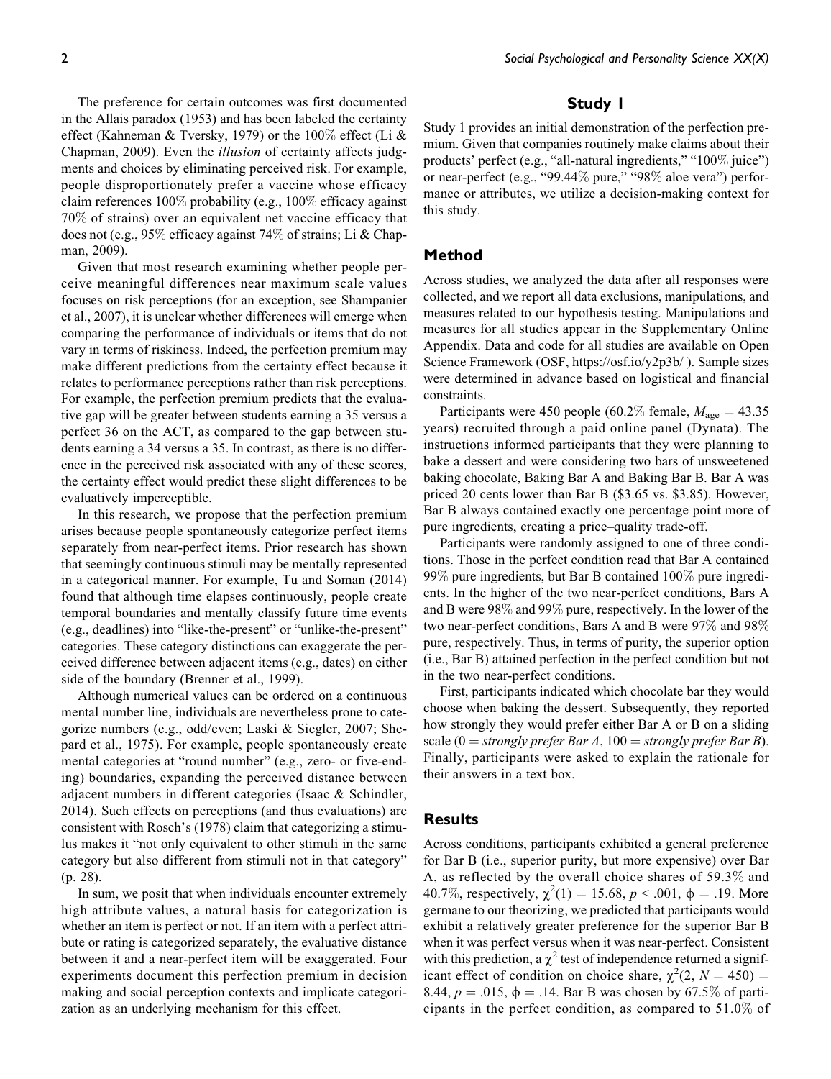The preference for certain outcomes was first documented in the Allais paradox (1953) and has been labeled the certainty effect (Kahneman & Tversky, 1979) or the 100% effect (Li & Chapman, 2009). Even the *illusion* of certainty affects judgments and choices by eliminating perceived risk. For example, people disproportionately prefer a vaccine whose efficacy claim references 100% probability (e.g., 100% efficacy against 70% of strains) over an equivalent net vaccine efficacy that does not (e.g., 95% efficacy against 74% of strains; Li & Chapman, 2009).

Given that most research examining whether people perceive meaningful differences near maximum scale values focuses on risk perceptions (for an exception, see Shampanier et al., 2007), it is unclear whether differences will emerge when comparing the performance of individuals or items that do not vary in terms of riskiness. Indeed, the perfection premium may make different predictions from the certainty effect because it relates to performance perceptions rather than risk perceptions. For example, the perfection premium predicts that the evaluative gap will be greater between students earning a 35 versus a perfect 36 on the ACT, as compared to the gap between students earning a 34 versus a 35. In contrast, as there is no difference in the perceived risk associated with any of these scores, the certainty effect would predict these slight differences to be evaluatively imperceptible.

In this research, we propose that the perfection premium arises because people spontaneously categorize perfect items separately from near-perfect items. Prior research has shown that seemingly continuous stimuli may be mentally represented in a categorical manner. For example, Tu and Soman (2014) found that although time elapses continuously, people create temporal boundaries and mentally classify future time events (e.g., deadlines) into "like-the-present" or "unlike-the-present" categories. These category distinctions can exaggerate the perceived difference between adjacent items (e.g., dates) on either side of the boundary (Brenner et al., 1999).

Although numerical values can be ordered on a continuous mental number line, individuals are nevertheless prone to categorize numbers (e.g., odd/even; Laski & Siegler, 2007; Shepard et al., 1975). For example, people spontaneously create mental categories at "round number" (e.g., zero- or five-ending) boundaries, expanding the perceived distance between adjacent numbers in different categories (Isaac & Schindler, 2014). Such effects on perceptions (and thus evaluations) are consistent with Rosch's (1978) claim that categorizing a stimulus makes it "not only equivalent to other stimuli in the same category but also different from stimuli not in that category" (p. 28).

In sum, we posit that when individuals encounter extremely high attribute values, a natural basis for categorization is whether an item is perfect or not. If an item with a perfect attribute or rating is categorized separately, the evaluative distance between it and a near-perfect item will be exaggerated. Four experiments document this perfection premium in decision making and social perception contexts and implicate categorization as an underlying mechanism for this effect.

# Study 1

Study 1 provides an initial demonstration of the perfection premium. Given that companies routinely make claims about their products' perfect (e.g., "all-natural ingredients," "100% juice") or near-perfect (e.g., "99.44% pure," "98% aloe vera") performance or attributes, we utilize a decision-making context for this study.

## Method

Across studies, we analyzed the data after all responses were collected, and we report all data exclusions, manipulations, and measures related to our hypothesis testing. Manipulations and measures for all studies appear in the Supplementary Online Appendix. Data and code for all studies are available on Open Science Framework (OSF, https://osf.io/y2p3b/ ). Sample sizes were determined in advance based on logistical and financial constraints.

Participants were 450 people (60.2% female,  $M_{\text{age}} = 43.35$ ) years) recruited through a paid online panel (Dynata). The instructions informed participants that they were planning to bake a dessert and were considering two bars of unsweetened baking chocolate, Baking Bar A and Baking Bar B. Bar A was priced 20 cents lower than Bar B (\$3.65 vs. \$3.85). However, Bar B always contained exactly one percentage point more of pure ingredients, creating a price–quality trade-off.

Participants were randomly assigned to one of three conditions. Those in the perfect condition read that Bar A contained 99% pure ingredients, but Bar B contained 100% pure ingredients. In the higher of the two near-perfect conditions, Bars A and B were 98% and 99% pure, respectively. In the lower of the two near-perfect conditions, Bars A and B were 97% and 98% pure, respectively. Thus, in terms of purity, the superior option (i.e., Bar B) attained perfection in the perfect condition but not in the two near-perfect conditions.

First, participants indicated which chocolate bar they would choose when baking the dessert. Subsequently, they reported how strongly they would prefer either Bar A or B on a sliding scale  $(0 = strongly prefer Bar A, 100 = strongly prefer Bar B)$ . Finally, participants were asked to explain the rationale for their answers in a text box.

## **Results**

Across conditions, participants exhibited a general preference for Bar B (i.e., superior purity, but more expensive) over Bar A, as reflected by the overall choice shares of 59.3% and 40.7%, respectively,  $\chi^2(1) = 15.68, p < .001, \phi = .19$ . More germane to our theorizing, we predicted that participants would exhibit a relatively greater preference for the superior Bar B when it was perfect versus when it was near-perfect. Consistent with this prediction, a  $\chi^2$  test of independence returned a significant effect of condition on choice share,  $\chi^2(2, N = 450) =$ 8.44,  $p = .015$ ,  $\phi = .14$ . Bar B was chosen by 67.5% of participants in the perfect condition, as compared to 51.0% of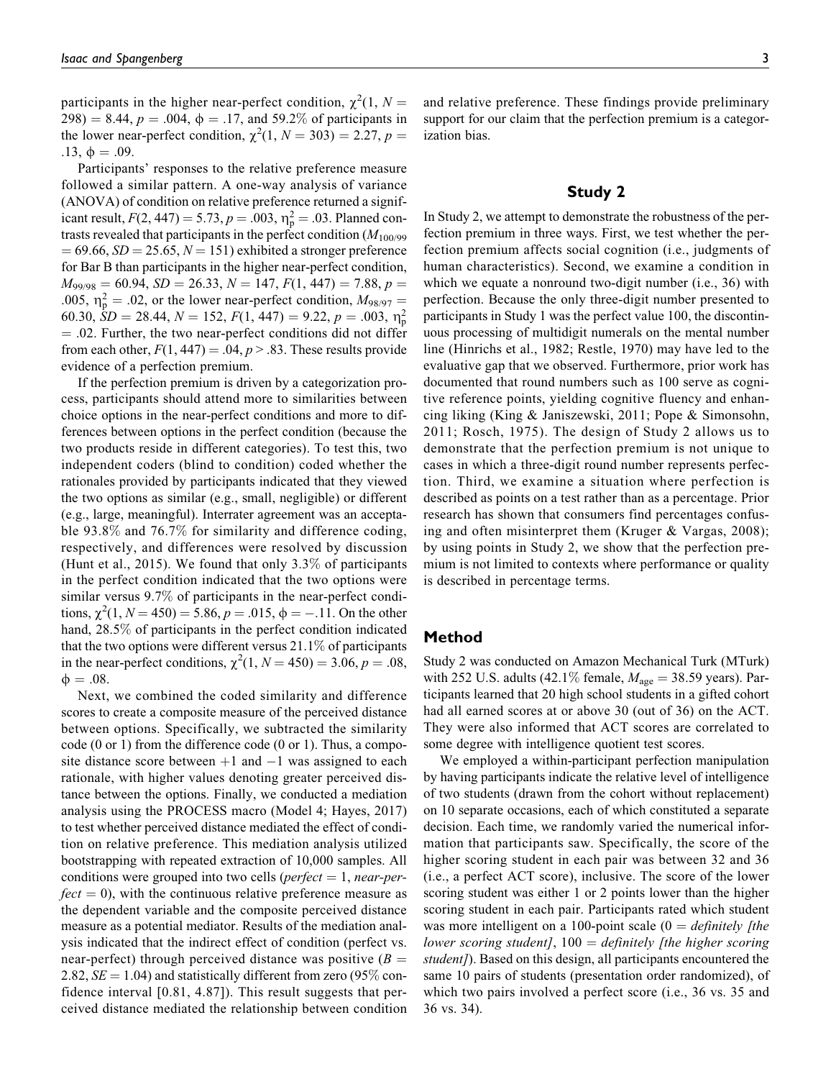participants in the higher near-perfect condition,  $\chi^2(1, N=$ 298) = 8.44,  $p = .004$ ,  $\phi = .17$ , and 59.2% of participants in the lower near-perfect condition,  $\chi^2(1, N = 303) = 2.27, p =$ .13,  $\phi = .09$ .

Participants' responses to the relative preference measure followed a similar pattern. A one-way analysis of variance (ANOVA) of condition on relative preference returned a significant result,  $F(2, 447) = 5.73, p = .003, \eta_p^2 = .03$ . Planned contrasts revealed that participants in the perfect condition  $(M_{100/99})$  $= 69.66, SD = 25.65, N = 151$  exhibited a stronger preference for Bar B than participants in the higher near-perfect condition,  $M_{99/98} = 60.94$ ,  $SD = 26.33$ ,  $N = 147$ ,  $F(1, 447) = 7.88$ ,  $p =$ .005,  $\eta_p^2 = 0.02$ , or the lower near-perfect condition,  $M_{98/97} =$ 60.30,  $\dot{S}D = 28.44$ ,  $N = 152$ ,  $F(1, 447) = 9.22$ ,  $p = .003$ ,  $\eta_p^2$  $= .02$ . Further, the two near-perfect conditions did not differ from each other,  $F(1, 447) = .04$ ,  $p > .83$ . These results provide evidence of a perfection premium.

If the perfection premium is driven by a categorization process, participants should attend more to similarities between choice options in the near-perfect conditions and more to differences between options in the perfect condition (because the two products reside in different categories). To test this, two independent coders (blind to condition) coded whether the rationales provided by participants indicated that they viewed the two options as similar (e.g., small, negligible) or different (e.g., large, meaningful). Interrater agreement was an acceptable 93.8% and 76.7% for similarity and difference coding, respectively, and differences were resolved by discussion (Hunt et al., 2015). We found that only 3.3% of participants in the perfect condition indicated that the two options were similar versus 9.7% of participants in the near-perfect conditions,  $\chi^2(1, N = 450) = 5.86, p = .015, \phi = -.11$ . On the other hand, 28.5% of participants in the perfect condition indicated that the two options were different versus 21.1% of participants in the near-perfect conditions,  $\chi^2(1, N = 450) = 3.06, p = .08$ ,  $\phi = .08$ .

Next, we combined the coded similarity and difference scores to create a composite measure of the perceived distance between options. Specifically, we subtracted the similarity code (0 or 1) from the difference code (0 or 1). Thus, a composite distance score between  $+1$  and  $-1$  was assigned to each rationale, with higher values denoting greater perceived distance between the options. Finally, we conducted a mediation analysis using the PROCESS macro (Model 4; Hayes, 2017) to test whether perceived distance mediated the effect of condition on relative preference. This mediation analysis utilized bootstrapping with repeated extraction of 10,000 samples. All conditions were grouped into two cells (*perfect*  $= 1$ , *near-per* $fect = 0$ , with the continuous relative preference measure as the dependent variable and the composite perceived distance measure as a potential mediator. Results of the mediation analysis indicated that the indirect effect of condition (perfect vs. near-perfect) through perceived distance was positive  $(B =$ 2.82,  $SE = 1.04$ ) and statistically different from zero (95% confidence interval [0.81, 4.87]). This result suggests that perceived distance mediated the relationship between condition

and relative preference. These findings provide preliminary support for our claim that the perfection premium is a categorization bias.

## Study 2

In Study 2, we attempt to demonstrate the robustness of the perfection premium in three ways. First, we test whether the perfection premium affects social cognition (i.e., judgments of human characteristics). Second, we examine a condition in which we equate a nonround two-digit number (i.e., 36) with perfection. Because the only three-digit number presented to participants in Study 1 was the perfect value 100, the discontinuous processing of multidigit numerals on the mental number line (Hinrichs et al., 1982; Restle, 1970) may have led to the evaluative gap that we observed. Furthermore, prior work has documented that round numbers such as 100 serve as cognitive reference points, yielding cognitive fluency and enhancing liking (King & Janiszewski, 2011; Pope & Simonsohn, 2011; Rosch, 1975). The design of Study 2 allows us to demonstrate that the perfection premium is not unique to cases in which a three-digit round number represents perfection. Third, we examine a situation where perfection is described as points on a test rather than as a percentage. Prior research has shown that consumers find percentages confusing and often misinterpret them (Kruger & Vargas, 2008); by using points in Study 2, we show that the perfection premium is not limited to contexts where performance or quality is described in percentage terms.

## Method

Study 2 was conducted on Amazon Mechanical Turk (MTurk) with 252 U.S. adults (42.1% female,  $M_{\text{age}} = 38.59$  years). Participants learned that 20 high school students in a gifted cohort had all earned scores at or above 30 (out of 36) on the ACT. They were also informed that ACT scores are correlated to some degree with intelligence quotient test scores.

We employed a within-participant perfection manipulation by having participants indicate the relative level of intelligence of two students (drawn from the cohort without replacement) on 10 separate occasions, each of which constituted a separate decision. Each time, we randomly varied the numerical information that participants saw. Specifically, the score of the higher scoring student in each pair was between 32 and 36 (i.e., a perfect ACT score), inclusive. The score of the lower scoring student was either 1 or 2 points lower than the higher scoring student in each pair. Participants rated which student was more intelligent on a 100-point scale  $(0 = \text{definitely } \text{] the}$ lower scoring student],  $100 =$  definitely [the higher scoring student]). Based on this design, all participants encountered the same 10 pairs of students (presentation order randomized), of which two pairs involved a perfect score (i.e., 36 vs. 35 and 36 vs. 34).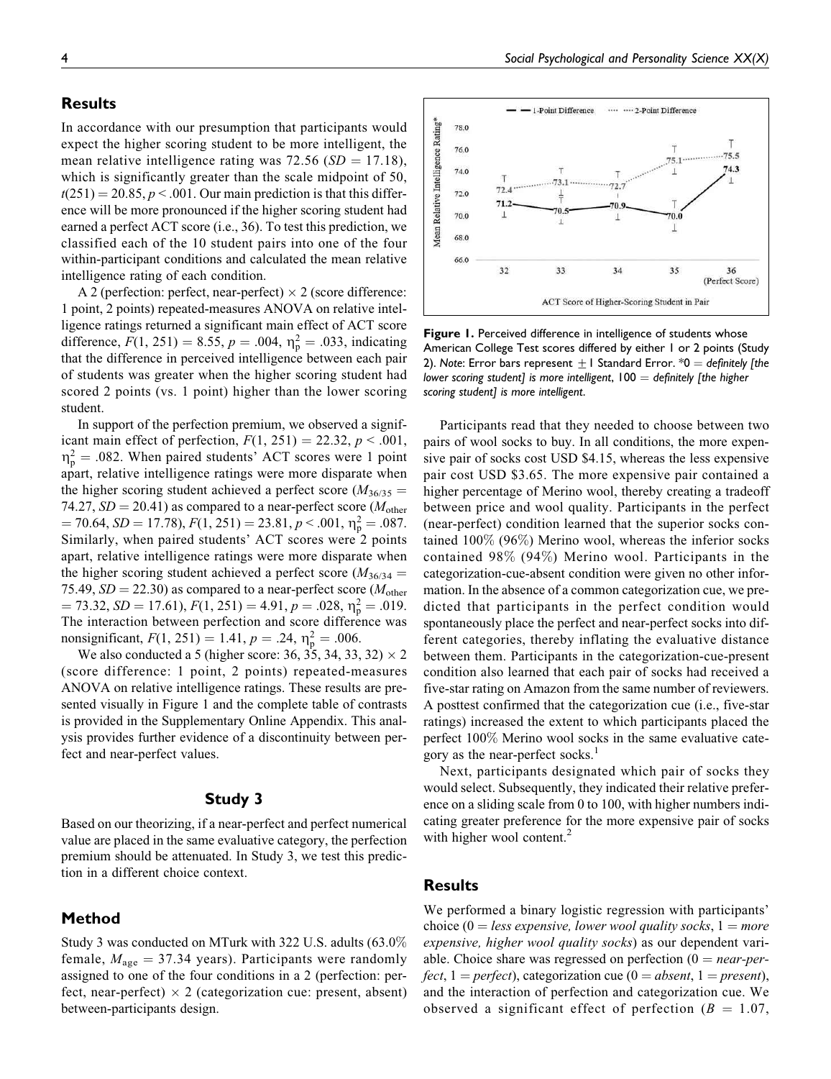# **Results**

In accordance with our presumption that participants would expect the higher scoring student to be more intelligent, the mean relative intelligence rating was 72.56 ( $SD = 17.18$ ), which is significantly greater than the scale midpoint of 50,  $t(251) = 20.85, p < .001$ . Our main prediction is that this difference will be more pronounced if the higher scoring student had earned a perfect ACT score (i.e., 36). To test this prediction, we classified each of the 10 student pairs into one of the four within-participant conditions and calculated the mean relative intelligence rating of each condition.

A 2 (perfection: perfect, near-perfect)  $\times$  2 (score difference: 1 point, 2 points) repeated-measures ANOVA on relative intelligence ratings returned a significant main effect of ACT score difference,  $F(1, 251) = 8.55$ ,  $p = .004$ ,  $\eta_p^2 = .033$ , indicating that the difference in perceived intelligence between each pair of students was greater when the higher scoring student had scored 2 points (vs. 1 point) higher than the lower scoring student.

In support of the perfection premium, we observed a significant main effect of perfection,  $F(1, 251) = 22.32, p < .001$ ,  $\eta_p^2 = .082$ . When paired students' ACT scores were 1 point apart, relative intelligence ratings were more disparate when the higher scoring student achieved a perfect score ( $M_{36/35}$  = 74.27,  $SD = 20.41$ ) as compared to a near-perfect score ( $M_{other}$ )  $= 70.64, SD = 17.78, F(1, 251) = 23.81, p < .001, \eta_{\rm p}^2 = .087.$ Similarly, when paired students' ACT scores were 2 points apart, relative intelligence ratings were more disparate when the higher scoring student achieved a perfect score ( $M_{36/34}$  = 75.49,  $SD = 22.30$ ) as compared to a near-perfect score ( $M_{\text{other}}$ )  $= 73.32, SD = 17.61, F(1, 251) = 4.91, p = .028, \eta_{\rm p}^2 = .019.$ The interaction between perfection and score difference was nonsignificant,  $F(1, 251) = 1.41$ ,  $p = .24$ ,  $\eta_p^2 = .006$ .

We also conducted a 5 (higher score: 36, 35, 34, 33, 32)  $\times$  2 (score difference: 1 point, 2 points) repeated-measures ANOVA on relative intelligence ratings. These results are presented visually in Figure 1 and the complete table of contrasts is provided in the Supplementary Online Appendix. This analysis provides further evidence of a discontinuity between perfect and near-perfect values.

#### Study 3

Based on our theorizing, if a near-perfect and perfect numerical value are placed in the same evaluative category, the perfection premium should be attenuated. In Study 3, we test this prediction in a different choice context.

# Method

Study 3 was conducted on MTurk with 322 U.S. adults (63.0% female,  $M_{\text{age}} = 37.34$  years). Participants were randomly assigned to one of the four conditions in a 2 (perfection: perfect, near-perfect)  $\times$  2 (categorization cue: present, absent) between-participants design.

Social Psychological and Personality Science XX(X)



Figure 1. Perceived difference in intelligence of students whose American College Test scores differed by either 1 or 2 points (Study 2). Note: Error bars represent  $\pm 1$  Standard Error. \*0 = definitely [the lower scoring student] is more intelligent,  $100 =$  definitely [the higher scoring student] is more intelligent.

Participants read that they needed to choose between two pairs of wool socks to buy. In all conditions, the more expensive pair of socks cost USD \$4.15, whereas the less expensive pair cost USD \$3.65. The more expensive pair contained a higher percentage of Merino wool, thereby creating a tradeoff between price and wool quality. Participants in the perfect (near-perfect) condition learned that the superior socks contained 100% (96%) Merino wool, whereas the inferior socks contained 98% (94%) Merino wool. Participants in the categorization-cue-absent condition were given no other information. In the absence of a common categorization cue, we predicted that participants in the perfect condition would spontaneously place the perfect and near-perfect socks into different categories, thereby inflating the evaluative distance between them. Participants in the categorization-cue-present condition also learned that each pair of socks had received a five-star rating on Amazon from the same number of reviewers. A posttest confirmed that the categorization cue (i.e., five-star ratings) increased the extent to which participants placed the perfect 100% Merino wool socks in the same evaluative category as the near-perfect socks.<sup>1</sup>

Next, participants designated which pair of socks they would select. Subsequently, they indicated their relative preference on a sliding scale from 0 to 100, with higher numbers indicating greater preference for the more expensive pair of socks with higher wool content.<sup>2</sup>

## Results

We performed a binary logistic regression with participants' choice (0 = less expensive, lower wool quality socks,  $1 = more$ expensive, higher wool quality socks) as our dependent variable. Choice share was regressed on perfection  $(0 = near-per$ fect,  $1 = perfect$ ), categorization cue ( $0 = absent$ ,  $1 = present$ ), and the interaction of perfection and categorization cue. We observed a significant effect of perfection ( $B = 1.07$ ,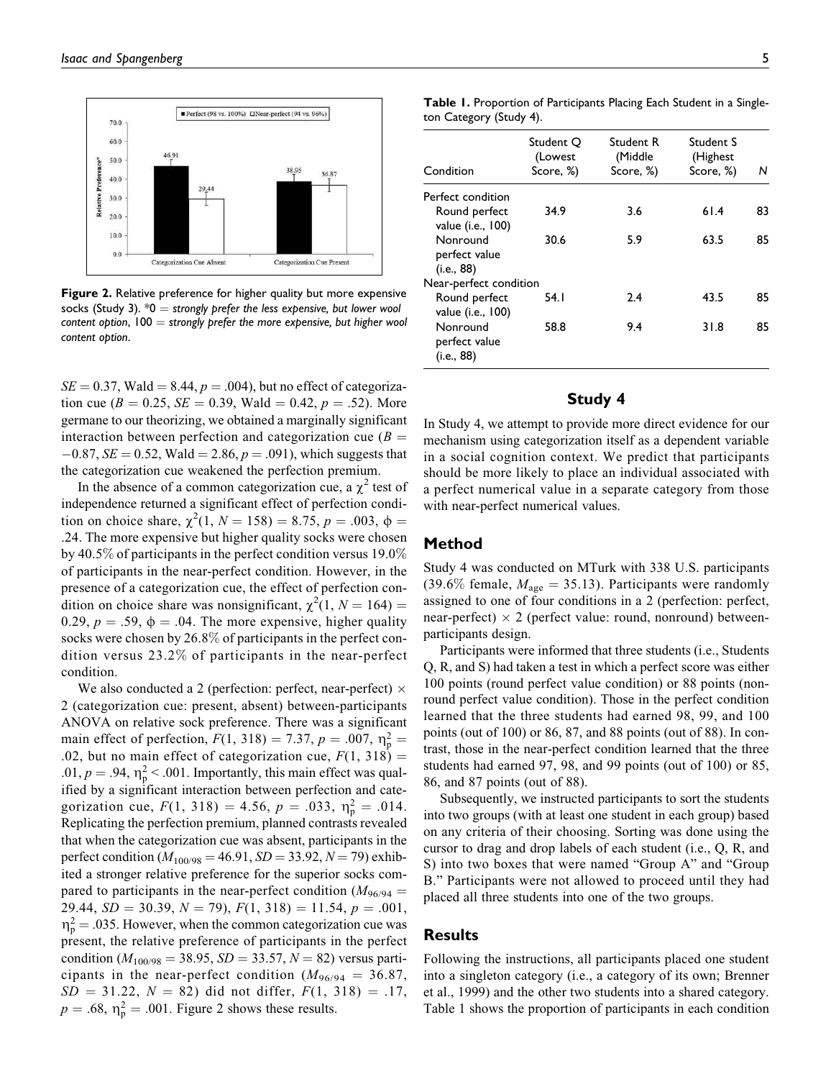

Figure 2. Relative preference for higher quality but more expensive socks (Study 3).  $*0 =$  strongly prefer the less expensive, but lower wool content option,  $100 =$  strongly prefer the more expensive, but higher wool content option.

 $SE = 0.37$ , Wald = 8.44,  $p = .004$ ), but no effect of categorization cue ( $B = 0.25$ ,  $SE = 0.39$ , Wald  $= 0.42$ ,  $p = .52$ ). More germane to our theorizing, we obtained a marginally significant interaction between perfection and categorization cue  $(B =$  $-0.87$ , SE = 0.52, Wald = 2.86,  $p = .091$ ), which suggests that the categorization cue weakened the perfection premium.

In the absence of a common categorization cue, a  $\chi^2$  test of independence returned a significant effect of perfection condition on choice share,  $\chi^2(1, N = 158) = 8.75, p = .003, \phi =$ .24. The more expensive but higher quality socks were chosen by 40.5% of participants in the perfect condition versus 19.0% of participants in the near-perfect condition. However, in the presence of a categorization cue, the effect of perfection condition on choice share was nonsignificant,  $\chi^2(1, N = 164)$  = 0.29,  $p = .59$ ,  $\phi = .04$ . The more expensive, higher quality socks were chosen by 26.8% of participants in the perfect condition versus 23.2% of participants in the near-perfect condition.

We also conducted a 2 (perfection: perfect, near-perfect)  $\times$ 2 (categorization cue: present, absent) between-participants ANOVA on relative sock preference. There was a significant main effect of perfection,  $F(1, 318) = 7.37, p = .007, \eta_p^2 =$ .02, but no main effect of categorization cue,  $F(1, 318) =$ .01,  $p = .94$ ,  $\eta_p^2 < .001$ . Importantly, this main effect was qualified by a significant interaction between perfection and categorization cue,  $F(1, 318) = 4.56$ ,  $p = .033$ ,  $\eta_p^2 = .014$ . Replicating the perfection premium, planned contrasts revealed that when the categorization cue was absent, participants in the perfect condition ( $M_{100/98} = 46.91$ ,  $SD = 33.92$ ,  $N = 79$ ) exhibited a stronger relative preference for the superior socks compared to participants in the near-perfect condition ( $M_{96/94}$  = 29.44,  $SD = 30.39$ ,  $N = 79$ ),  $F(1, 318) = 11.54$ ,  $p = .001$ ,  $\eta_{\rm p}^2 = 0.035$ . However, when the common categorization cue was present, the relative preference of participants in the perfect condition ( $M_{100/98}$  = 38.95, SD = 33.57, N = 82) versus participants in the near-perfect condition  $(M<sub>96/94</sub> = 36.87,$  $SD = 31.22, N = 82$ ) did not differ,  $F(1, 318) = .17$ ,  $p = .68$ ,  $\eta_p^2 = .001$ . Figure 2 shows these results.

Table 1. Proportion of Participants Placing Each Student in a Singleton Category (Study 4).

| Condition                               | Student O<br>(Lowest<br>Score, %) | Student R<br>(Middle<br>Score, %) | Student S<br>(Highest<br>Score, %) | N  |
|-----------------------------------------|-----------------------------------|-----------------------------------|------------------------------------|----|
| Perfect condition                       |                                   |                                   |                                    |    |
| Round perfect<br>value (i.e., 100)      | 34.9                              | 3.6                               | 61.4                               | 83 |
| Nonround<br>perfect value<br>(i.e., 88) | 30.6                              | 5.9                               | 63.5                               | 85 |
| Near-perfect condition                  |                                   |                                   |                                    |    |
| Round perfect<br>value (i.e., 100)      | 54. I                             | 2.4                               | 43.5                               | 85 |
| Nonround<br>perfect value<br>(i.e., 88) | 58.8                              | 9.4                               | 31.8                               | 85 |

# Study 4

In Study 4, we attempt to provide more direct evidence for our mechanism using categorization itself as a dependent variable in a social cognition context. We predict that participants should be more likely to place an individual associated with a perfect numerical value in a separate category from those with near-perfect numerical values.

### Method

Study 4 was conducted on MTurk with 338 U.S. participants (39.6% female,  $M_{\text{age}} = 35.13$ ). Participants were randomly assigned to one of four conditions in a 2 (perfection: perfect, near-perfect)  $\times$  2 (perfect value: round, nonround) betweenparticipants design.

Participants were informed that three students (i.e., Students Q, R, and S) had taken a test in which a perfect score was either 100 points (round perfect value condition) or 88 points (nonround perfect value condition). Those in the perfect condition learned that the three students had earned 98, 99, and 100 points (out of 100) or 86, 87, and 88 points (out of 88). In contrast, those in the near-perfect condition learned that the three students had earned 97, 98, and 99 points (out of 100) or 85, 86, and 87 points (out of 88).

Subsequently, we instructed participants to sort the students into two groups (with at least one student in each group) based on any criteria of their choosing. Sorting was done using the cursor to drag and drop labels of each student (i.e., Q, R, and S) into two boxes that were named "Group A" and "Group B." Participants were not allowed to proceed until they had placed all three students into one of the two groups.

## **Results**

Following the instructions, all participants placed one student into a singleton category (i.e., a category of its own; Brenner et al., 1999) and the other two students into a shared category. Table 1 shows the proportion of participants in each condition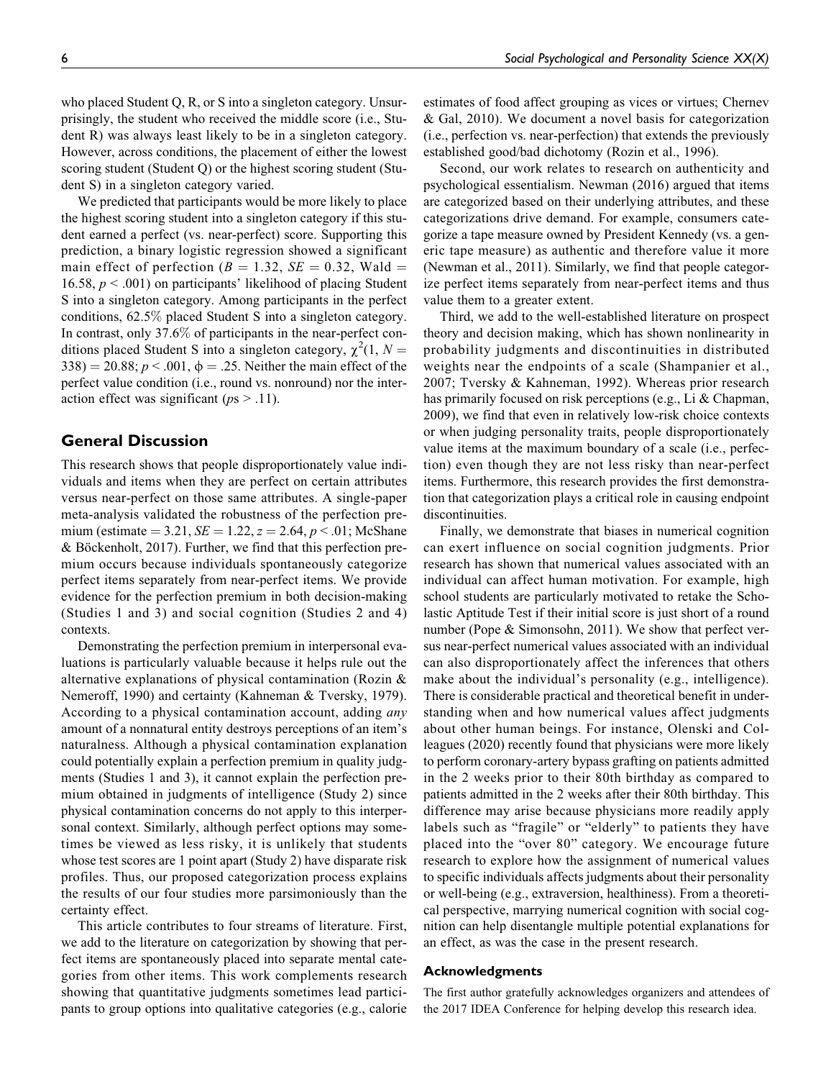who placed Student Q, R, or S into a singleton category. Unsurprisingly, the student who received the middle score (i.e., Student R) was always least likely to be in a singleton category. However, across conditions, the placement of either the lowest scoring student (Student Q) or the highest scoring student (Student S) in a singleton category varied.

We predicted that participants would be more likely to place the highest scoring student into a singleton category if this student earned a perfect (vs. near-perfect) score. Supporting this prediction, a binary logistic regression showed a significant main effect of perfection ( $B = 1.32$ ,  $SE = 0.32$ , Wald = 16.58,  $p < .001$ ) on participants' likelihood of placing Student S into a singleton category. Among participants in the perfect conditions, 62.5% placed Student S into a singleton category. In contrast, only 37.6% of participants in the near-perfect conditions placed Student S into a singleton category,  $\chi^2(1, N =$ 338) = 20.88;  $p < .001$ ,  $\phi = .25$ . Neither the main effect of the perfect value condition (i.e., round vs. nonround) nor the interaction effect was significant ( $ps > .11$ ).

## General Discussion

This research shows that people disproportionately value individuals and items when they are perfect on certain attributes versus near-perfect on those same attributes. A single-paper meta-analysis validated the robustness of the perfection premium (estimate = 3.21,  $SE = 1.22$ ,  $z = 2.64$ ,  $p < .01$ ; McShane  $& Böckenholt, 2017$ . Further, we find that this perfection premium occurs because individuals spontaneously categorize perfect items separately from near-perfect items. We provide evidence for the perfection premium in both decision-making (Studies 1 and 3) and social cognition (Studies 2 and 4) contexts.

Demonstrating the perfection premium in interpersonal evaluations is particularly valuable because it helps rule out the alternative explanations of physical contamination (Rozin & Nemeroff, 1990) and certainty (Kahneman & Tversky, 1979). According to a physical contamination account, adding any amount of a nonnatural entity destroys perceptions of an item's naturalness. Although a physical contamination explanation could potentially explain a perfection premium in quality judgments (Studies 1 and 3), it cannot explain the perfection premium obtained in judgments of intelligence (Study 2) since physical contamination concerns do not apply to this interpersonal context. Similarly, although perfect options may sometimes be viewed as less risky, it is unlikely that students whose test scores are 1 point apart (Study 2) have disparate risk profiles. Thus, our proposed categorization process explains the results of our four studies more parsimoniously than the certainty effect.

This article contributes to four streams of literature. First, we add to the literature on categorization by showing that perfect items are spontaneously placed into separate mental categories from other items. This work complements research showing that quantitative judgments sometimes lead participants to group options into qualitative categories (e.g., calorie

estimates of food affect grouping as vices or virtues; Chernev & Gal, 2010). We document a novel basis for categorization (i.e., perfection vs. near-perfection) that extends the previously established good/bad dichotomy (Rozin et al., 1996).

Second, our work relates to research on authenticity and psychological essentialism. Newman (2016) argued that items are categorized based on their underlying attributes, and these categorizations drive demand. For example, consumers categorize a tape measure owned by President Kennedy (vs. a generic tape measure) as authentic and therefore value it more (Newman et al., 2011). Similarly, we find that people categorize perfect items separately from near-perfect items and thus value them to a greater extent.

Third, we add to the well-established literature on prospect theory and decision making, which has shown nonlinearity in probability judgments and discontinuities in distributed weights near the endpoints of a scale (Shampanier et al., 2007; Tversky & Kahneman, 1992). Whereas prior research has primarily focused on risk perceptions (e.g., Li & Chapman, 2009), we find that even in relatively low-risk choice contexts or when judging personality traits, people disproportionately value items at the maximum boundary of a scale (i.e., perfection) even though they are not less risky than near-perfect items. Furthermore, this research provides the first demonstration that categorization plays a critical role in causing endpoint discontinuities.

Finally, we demonstrate that biases in numerical cognition can exert influence on social cognition judgments. Prior research has shown that numerical values associated with an individual can affect human motivation. For example, high school students are particularly motivated to retake the Scholastic Aptitude Test if their initial score is just short of a round number (Pope & Simonsohn, 2011). We show that perfect versus near-perfect numerical values associated with an individual can also disproportionately affect the inferences that others make about the individual's personality (e.g., intelligence). There is considerable practical and theoretical benefit in understanding when and how numerical values affect judgments about other human beings. For instance, Olenski and Colleagues (2020) recently found that physicians were more likely to perform coronary-artery bypass grafting on patients admitted in the 2 weeks prior to their 80th birthday as compared to patients admitted in the 2 weeks after their 80th birthday. This difference may arise because physicians more readily apply labels such as "fragile" or "elderly" to patients they have placed into the "over 80" category. We encourage future research to explore how the assignment of numerical values to specific individuals affects judgments about their personality or well-being (e.g., extraversion, healthiness). From a theoretical perspective, marrying numerical cognition with social cognition can help disentangle multiple potential explanations for an effect, as was the case in the present research.

#### Acknowledgments

The first author gratefully acknowledges organizers and attendees of the 2017 IDEA Conference for helping develop this research idea.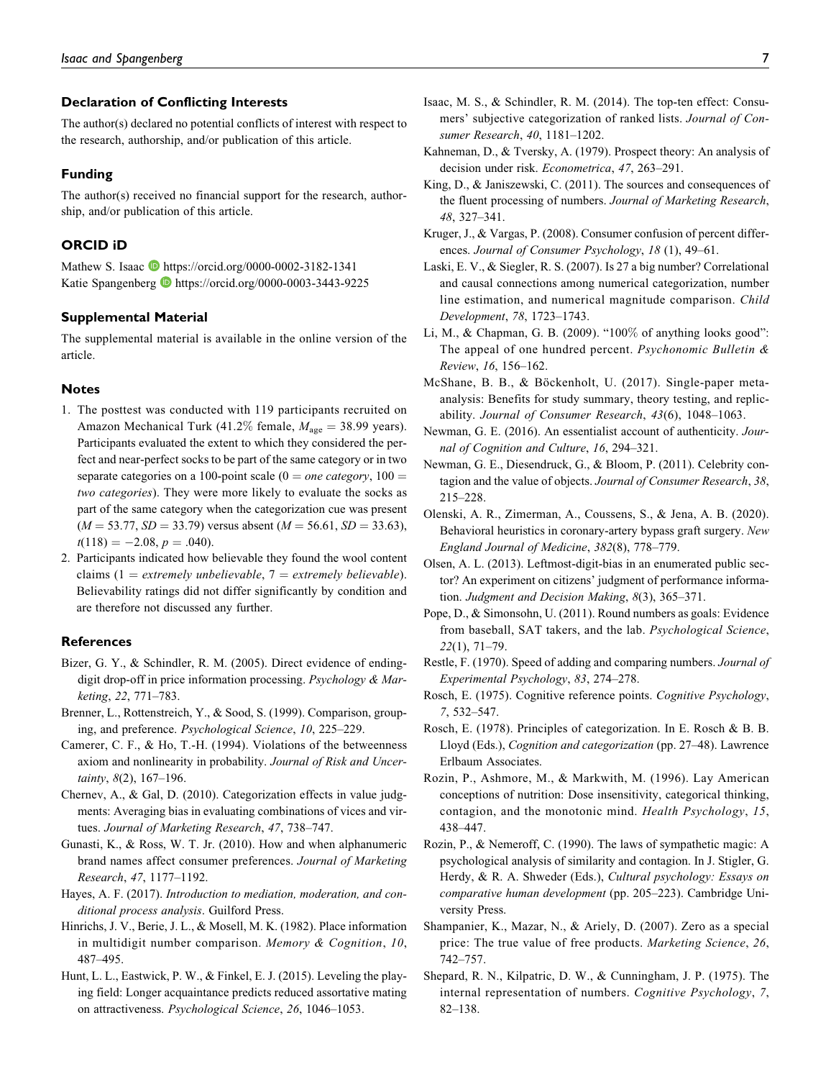## Declaration of Conflicting Interests

The author(s) declared no potential conflicts of interest with respect to the research, authorship, and/or publication of this article.

#### Funding

The author(s) received no financial support for the research, authorship, and/or publication of this article.

#### ORCID iD

Mathew S. Isaac D https://orcid.org/0000-0002-3182-1341 Katie Spangenberg **b** https://orcid.org/0000-0003-3443-9225

## Supplemental Material

The supplemental material is available in the online version of the article.

### **Notes**

- 1. The posttest was conducted with 119 participants recruited on Amazon Mechanical Turk (41.2% female,  $M_{\text{age}} = 38.99$  years). Participants evaluated the extent to which they considered the perfect and near-perfect socks to be part of the same category or in two separate categories on a 100-point scale ( $0 = one category$ ,  $100 =$ two categories). They were more likely to evaluate the socks as part of the same category when the categorization cue was present  $(M = 53.77, SD = 33.79)$  versus absent  $(M = 56.61, SD = 33.63)$ ,  $t(118) = -2.08, p = .040.$
- 2. Participants indicated how believable they found the wool content claims (1 = extremely unbelievable, 7 = extremely believable). Believability ratings did not differ significantly by condition and are therefore not discussed any further.

#### References

- Bizer, G. Y., & Schindler, R. M. (2005). Direct evidence of endingdigit drop-off in price information processing. Psychology & Marketing, 22, 771–783.
- Brenner, L., Rottenstreich, Y., & Sood, S. (1999). Comparison, grouping, and preference. Psychological Science, 10, 225–229.
- Camerer, C. F., & Ho, T.-H. (1994). Violations of the betweenness axiom and nonlinearity in probability. Journal of Risk and Uncertainty, 8(2), 167–196.
- Chernev, A., & Gal, D. (2010). Categorization effects in value judgments: Averaging bias in evaluating combinations of vices and virtues. Journal of Marketing Research, 47, 738–747.
- Gunasti, K., & Ross, W. T. Jr. (2010). How and when alphanumeric brand names affect consumer preferences. Journal of Marketing Research, 47, 1177–1192.
- Hayes, A. F. (2017). Introduction to mediation, moderation, and conditional process analysis. Guilford Press.
- Hinrichs, J. V., Berie, J. L., & Mosell, M. K. (1982). Place information in multidigit number comparison. Memory & Cognition, 10, 487–495.
- Hunt, L. L., Eastwick, P. W., & Finkel, E. J. (2015). Leveling the playing field: Longer acquaintance predicts reduced assortative mating on attractiveness. Psychological Science, 26, 1046–1053.
- Isaac, M. S., & Schindler, R. M. (2014). The top-ten effect: Consumers' subjective categorization of ranked lists. Journal of Consumer Research, 40, 1181–1202.
- Kahneman, D., & Tversky, A. (1979). Prospect theory: An analysis of decision under risk. Econometrica, 47, 263–291.
- King, D., & Janiszewski, C. (2011). The sources and consequences of the fluent processing of numbers. Journal of Marketing Research, 48, 327–341.
- Kruger, J., & Vargas, P. (2008). Consumer confusion of percent differences. Journal of Consumer Psychology, 18 (1), 49–61.
- Laski, E. V., & Siegler, R. S. (2007). Is 27 a big number? Correlational and causal connections among numerical categorization, number line estimation, and numerical magnitude comparison. Child Development, 78, 1723–1743.
- Li, M., & Chapman, G. B. (2009). "100% of anything looks good": The appeal of one hundred percent. Psychonomic Bulletin & Review, 16, 156–162.
- McShane, B. B., & Böckenholt, U. (2017). Single-paper metaanalysis: Benefits for study summary, theory testing, and replicability. Journal of Consumer Research, 43(6), 1048–1063.
- Newman, G. E. (2016). An essentialist account of authenticity. Journal of Cognition and Culture, 16, 294–321.
- Newman, G. E., Diesendruck, G., & Bloom, P. (2011). Celebrity contagion and the value of objects. Journal of Consumer Research, 38, 215–228.
- Olenski, A. R., Zimerman, A., Coussens, S., & Jena, A. B. (2020). Behavioral heuristics in coronary-artery bypass graft surgery. New England Journal of Medicine, 382(8), 778–779.
- Olsen, A. L. (2013). Leftmost-digit-bias in an enumerated public sector? An experiment on citizens' judgment of performance information. Judgment and Decision Making, 8(3), 365–371.
- Pope, D., & Simonsohn, U. (2011). Round numbers as goals: Evidence from baseball, SAT takers, and the lab. Psychological Science, 22(1), 71–79.
- Restle, F. (1970). Speed of adding and comparing numbers. Journal of Experimental Psychology, 83, 274–278.
- Rosch, E. (1975). Cognitive reference points. Cognitive Psychology, 7, 532–547.
- Rosch, E. (1978). Principles of categorization. In E. Rosch & B. B. Lloyd (Eds.), Cognition and categorization (pp. 27–48). Lawrence Erlbaum Associates.
- Rozin, P., Ashmore, M., & Markwith, M. (1996). Lay American conceptions of nutrition: Dose insensitivity, categorical thinking, contagion, and the monotonic mind. Health Psychology, 15, 438–447.
- Rozin, P., & Nemeroff, C. (1990). The laws of sympathetic magic: A psychological analysis of similarity and contagion. In J. Stigler, G. Herdy, & R. A. Shweder (Eds.), Cultural psychology: Essays on comparative human development (pp. 205–223). Cambridge University Press.
- Shampanier, K., Mazar, N., & Ariely, D. (2007). Zero as a special price: The true value of free products. Marketing Science, 26, 742–757.
- Shepard, R. N., Kilpatric, D. W., & Cunningham, J. P. (1975). The internal representation of numbers. Cognitive Psychology, 7, 82–138.